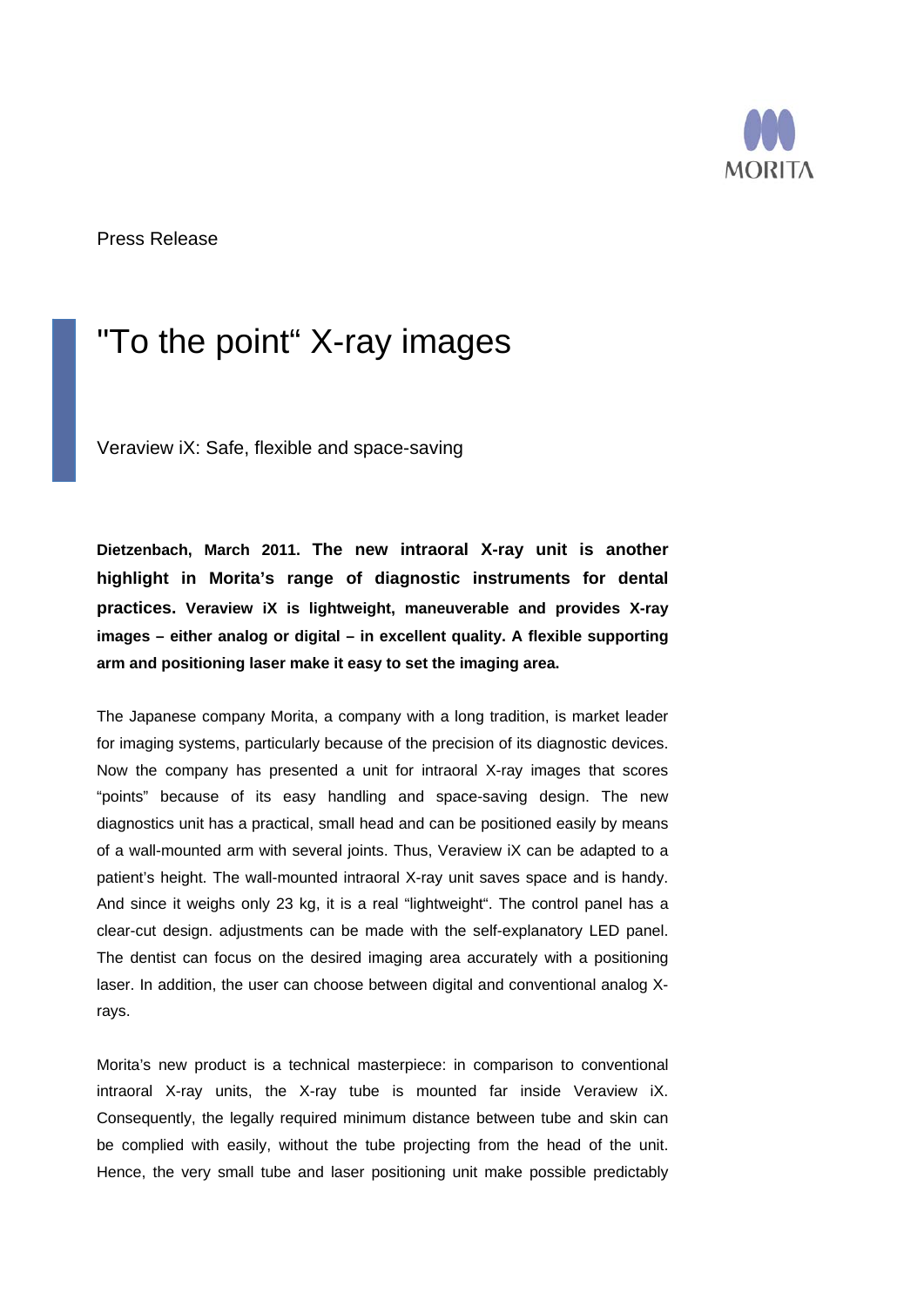

Press Release

## "To the point" X-ray images

Veraview iX: Safe, flexible and space-saving

**Dietzenbach, March 2011. The new intraoral X-ray unit is another highlight in Morita's range of diagnostic instruments for dental practices. Veraview iX is lightweight, maneuverable and provides X-ray images – either analog or digital – in excellent quality. A flexible supporting arm and positioning laser make it easy to set the imaging area.** 

The Japanese company Morita, a company with a long tradition, is market leader for imaging systems, particularly because of the precision of its diagnostic devices. Now the company has presented a unit for intraoral X-ray images that scores "points" because of its easy handling and space-saving design. The new diagnostics unit has a practical, small head and can be positioned easily by means of a wall-mounted arm with several joints. Thus, Veraview iX can be adapted to a patient's height. The wall-mounted intraoral X-ray unit saves space and is handy. And since it weighs only 23 kg, it is a real "lightweight". The control panel has a clear-cut design. adjustments can be made with the self-explanatory LED panel. The dentist can focus on the desired imaging area accurately with a positioning laser. In addition, the user can choose between digital and conventional analog Xrays.

Morita's new product is a technical masterpiece: in comparison to conventional intraoral X-ray units, the X-ray tube is mounted far inside Veraview iX. Consequently, the legally required minimum distance between tube and skin can be complied with easily, without the tube projecting from the head of the unit. Hence, the very small tube and laser positioning unit make possible predictably